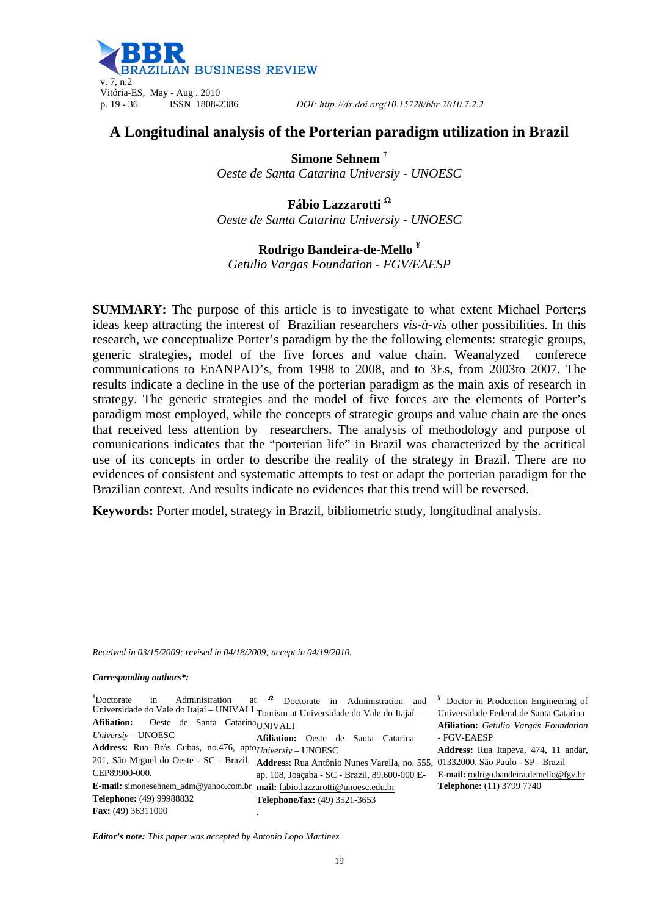

# **A Longitudinal analysis of the Porterian paradigm utilization in Brazil**

**Simone Sehnem †** *Oeste de Santa Catarina Universiy - UNOESC*

**Fábio Lazzarotti**  *Oeste de Santa Catarina Universiy - UNOESC* 

**Rodrigo Bandeira-de-Mello ¥** *Getulio Vargas Foundation - FGV/EAESP* 

**SUMMARY:** The purpose of this article is to investigate to what extent Michael Porter;s ideas keep attracting the interest of Brazilian researchers *vis-à-vis* other possibilities. In this research, we conceptualize Porter's paradigm by the the following elements: strategic groups, generic strategies, model of the five forces and value chain. Weanalyzed conferece communications to EnANPAD's, from 1998 to 2008, and to 3Es, from 2003to 2007. The results indicate a decline in the use of the porterian paradigm as the main axis of research in strategy. The generic strategies and the model of five forces are the elements of Porter's paradigm most employed, while the concepts of strategic groups and value chain are the ones that received less attention by researchers. The analysis of methodology and purpose of comunications indicates that the "porterian life" in Brazil was characterized by the acritical use of its concepts in order to describe the reality of the strategy in Brazil. There are no evidences of consistent and systematic attempts to test or adapt the porterian paradigm for the Brazilian context. And results indicate no evidences that this trend will be reversed.

**Keywords:** Porter model, strategy in Brazil, bibliometric study, longitudinal analysis.

*Received in 03/15/2009; revised in 04/18/2009; accept in 04/19/2010.*

*Corresponding authors\*:* 

**†**Doctorate in Administration at Universidade do Vale do Itajaí – UNIVALI Tourism at Universidade do Vale do Itajaí – Afiliation: Oeste de Santa Catarina UNIVALI *Universiy* – UNOESC Address: Rua Brás Cubas, no.476, apto Universiy – UNOESC 201, São Miguel do Oeste - SC - Brazil, **Address**: Rua Antônio Nunes Varella, no. 555, 01332000, São Paulo - SP - Brazil CEP89900-000. **E-mail:** simonesehnem\_adm@yahoo.com.br **mail:** fabio.lazzarotti@unoesc.edu.br **Telephone:** (49) 99988832 **Fax:** (49) 36311000 at  $\Omega$  Doctorate in Administration and **Afiliation:** Oeste de Santa Catarina ap. 108, Joaçaba - SC - Brazil, 89.600-000 **E-Telephone/fax:** (49) 3521-3653 . *-* FGV-EAESP

**¥** Doctor in Production Engineering of Universidade Federal de Santa Catarina **Afiliation:** *Getulio Vargas Foundation*

**Address:** Rua Itapeva, 474, 11 andar, **E-mail:** rodrigo.bandeira.demello@fgv.br **Telephone:** (11) 3799 7740

*Editor's note: This paper was accepted by Antonio Lopo Martinez*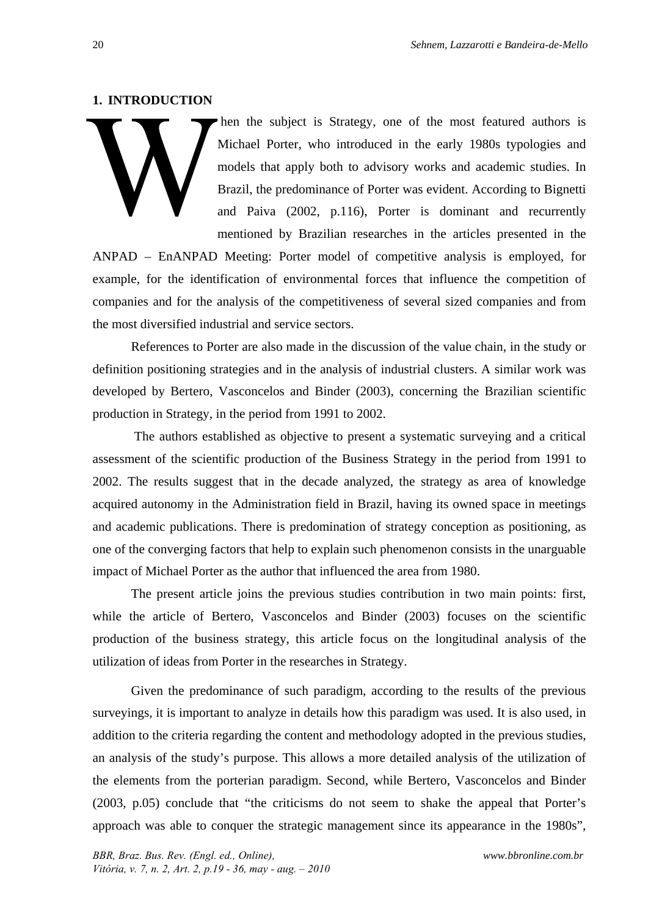#### **1. INTRODUCTION**

 hen the subject is Strategy, one of the most featured authors is Michael Porter, who introduced in the early 1980s typologies and models that apply both to advisory works and academic studies. In Brazil, the predominance of Porter was evident. According to Bignetti and Paiva (2002, p.116), Porter is dominant and recurrently mentioned by Brazilian researches in the articles presented in the

ANPAD – EnANPAD Meeting: Porter model of competitive analysis is employed, for example, for the identification of environmental forces that influence the competition of companies and for the analysis of the competitiveness of several sized companies and from the most diversified industrial and service sectors.

References to Porter are also made in the discussion of the value chain, in the study or definition positioning strategies and in the analysis of industrial clusters. A similar work was developed by Bertero, Vasconcelos and Binder (2003), concerning the Brazilian scientific production in Strategy, in the period from 1991 to 2002.

 The authors established as objective to present a systematic surveying and a critical assessment of the scientific production of the Business Strategy in the period from 1991 to 2002. The results suggest that in the decade analyzed, the strategy as area of knowledge acquired autonomy in the Administration field in Brazil, having its owned space in meetings and academic publications. There is predomination of strategy conception as positioning, as one of the converging factors that help to explain such phenomenon consists in the unarguable impact of Michael Porter as the author that influenced the area from 1980.

The present article joins the previous studies contribution in two main points: first, while the article of Bertero, Vasconcelos and Binder (2003) focuses on the scientific production of the business strategy, this article focus on the longitudinal analysis of the utilization of ideas from Porter in the researches in Strategy.

Given the predominance of such paradigm, according to the results of the previous surveyings, it is important to analyze in details how this paradigm was used. It is also used, in addition to the criteria regarding the content and methodology adopted in the previous studies, an analysis of the study's purpose. This allows a more detailed analysis of the utilization of the elements from the porterian paradigm. Second, while Bertero, Vasconcelos and Binder (2003, p.05) conclude that "the criticisms do not seem to shake the appeal that Porter's approach was able to conquer the strategic management since its appearance in the 1980s",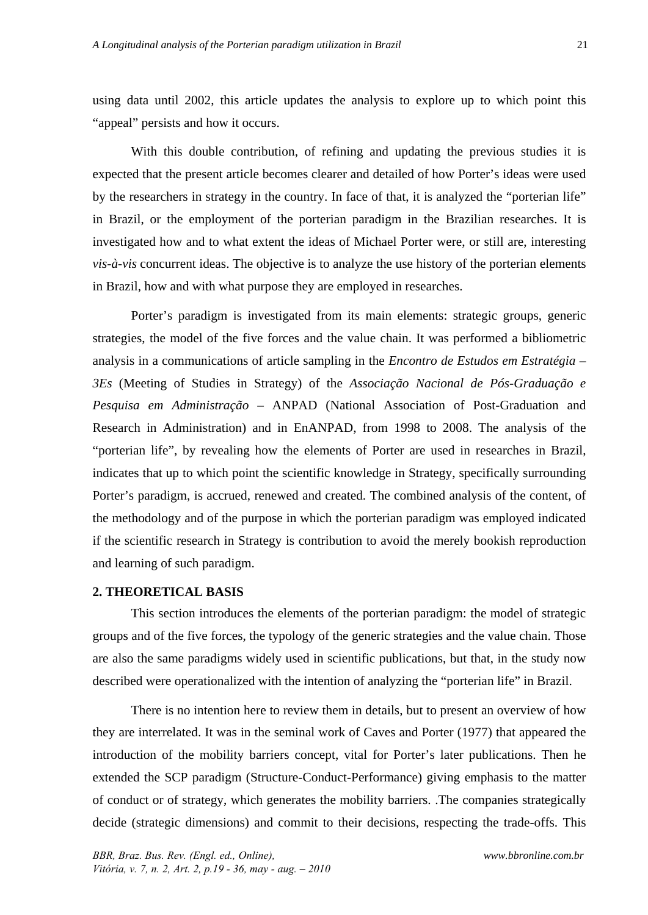using data until 2002, this article updates the analysis to explore up to which point this "appeal" persists and how it occurs.

With this double contribution, of refining and updating the previous studies it is expected that the present article becomes clearer and detailed of how Porter's ideas were used by the researchers in strategy in the country. In face of that, it is analyzed the "porterian life" in Brazil, or the employment of the porterian paradigm in the Brazilian researches. It is investigated how and to what extent the ideas of Michael Porter were, or still are, interesting *vis-à-vis* concurrent ideas. The objective is to analyze the use history of the porterian elements in Brazil, how and with what purpose they are employed in researches.

Porter's paradigm is investigated from its main elements: strategic groups, generic strategies, the model of the five forces and the value chain. It was performed a bibliometric analysis in a communications of article sampling in the *Encontro de Estudos em Estratégia – 3Es* (Meeting of Studies in Strategy) of the *Associação Nacional de Pós-Graduação e Pesquisa em Administração* – ANPAD (National Association of Post-Graduation and Research in Administration) and in EnANPAD, from 1998 to 2008. The analysis of the "porterian life", by revealing how the elements of Porter are used in researches in Brazil, indicates that up to which point the scientific knowledge in Strategy, specifically surrounding Porter's paradigm, is accrued, renewed and created. The combined analysis of the content, of the methodology and of the purpose in which the porterian paradigm was employed indicated if the scientific research in Strategy is contribution to avoid the merely bookish reproduction and learning of such paradigm.

### **2. THEORETICAL BASIS**

This section introduces the elements of the porterian paradigm: the model of strategic groups and of the five forces, the typology of the generic strategies and the value chain. Those are also the same paradigms widely used in scientific publications, but that, in the study now described were operationalized with the intention of analyzing the "porterian life" in Brazil.

There is no intention here to review them in details, but to present an overview of how they are interrelated. It was in the seminal work of Caves and Porter (1977) that appeared the introduction of the mobility barriers concept, vital for Porter's later publications. Then he extended the SCP paradigm (Structure-Conduct-Performance) giving emphasis to the matter of conduct or of strategy, which generates the mobility barriers. .The companies strategically decide (strategic dimensions) and commit to their decisions, respecting the trade-offs. This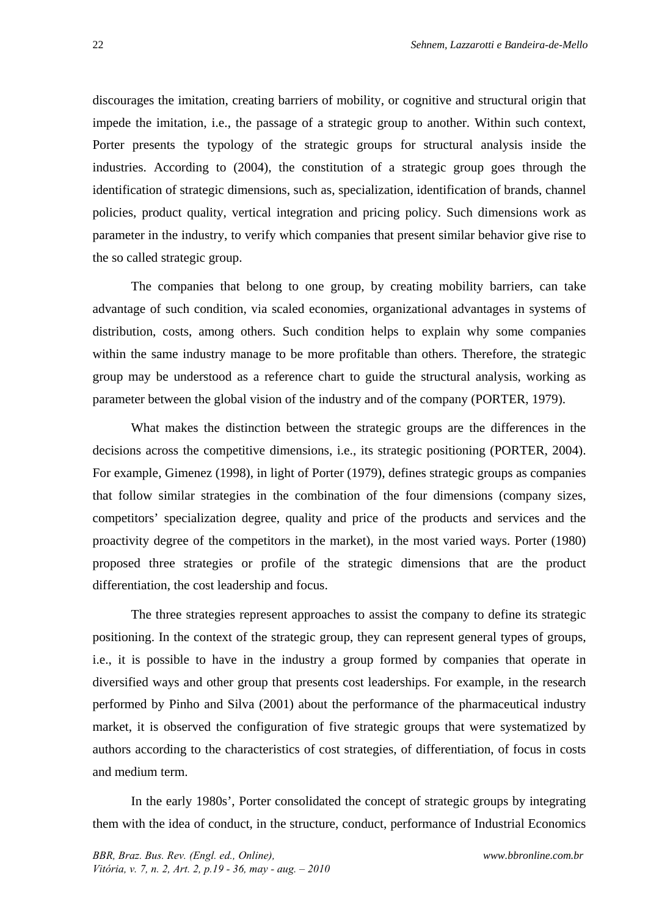discourages the imitation, creating barriers of mobility, or cognitive and structural origin that impede the imitation, i.e., the passage of a strategic group to another. Within such context, Porter presents the typology of the strategic groups for structural analysis inside the industries. According to (2004), the constitution of a strategic group goes through the identification of strategic dimensions, such as, specialization, identification of brands, channel policies, product quality, vertical integration and pricing policy. Such dimensions work as parameter in the industry, to verify which companies that present similar behavior give rise to the so called strategic group.

The companies that belong to one group, by creating mobility barriers, can take advantage of such condition, via scaled economies, organizational advantages in systems of distribution, costs, among others. Such condition helps to explain why some companies within the same industry manage to be more profitable than others. Therefore, the strategic group may be understood as a reference chart to guide the structural analysis, working as parameter between the global vision of the industry and of the company (PORTER, 1979).

What makes the distinction between the strategic groups are the differences in the decisions across the competitive dimensions, i.e., its strategic positioning (PORTER, 2004). For example, Gimenez (1998), in light of Porter (1979), defines strategic groups as companies that follow similar strategies in the combination of the four dimensions (company sizes, competitors' specialization degree, quality and price of the products and services and the proactivity degree of the competitors in the market), in the most varied ways. Porter (1980) proposed three strategies or profile of the strategic dimensions that are the product differentiation, the cost leadership and focus.

The three strategies represent approaches to assist the company to define its strategic positioning. In the context of the strategic group, they can represent general types of groups, i.e., it is possible to have in the industry a group formed by companies that operate in diversified ways and other group that presents cost leaderships. For example, in the research performed by Pinho and Silva (2001) about the performance of the pharmaceutical industry market, it is observed the configuration of five strategic groups that were systematized by authors according to the characteristics of cost strategies, of differentiation, of focus in costs and medium term.

In the early 1980s', Porter consolidated the concept of strategic groups by integrating them with the idea of conduct, in the structure, conduct, performance of Industrial Economics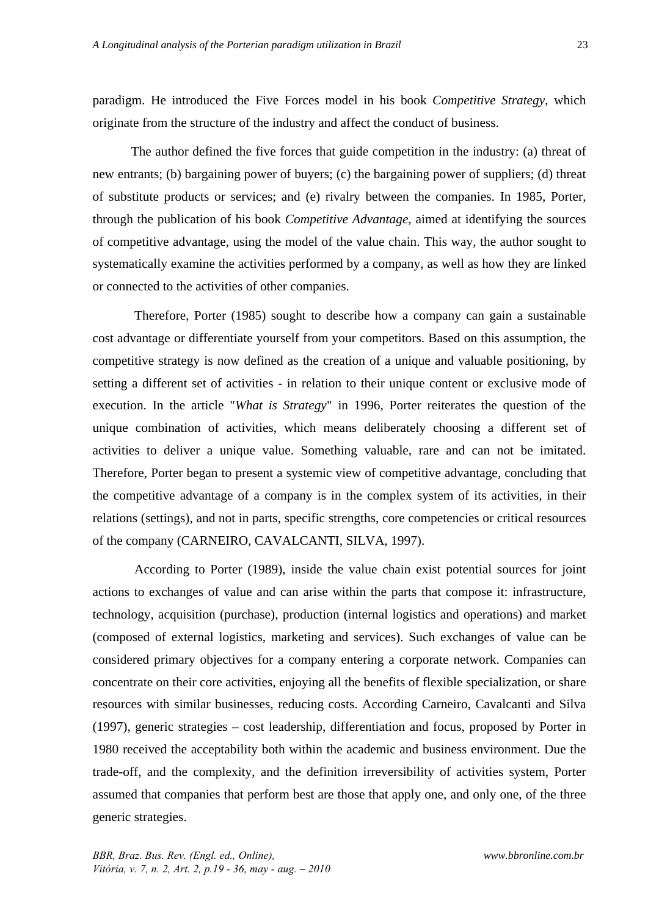paradigm. He introduced the Five Forces model in his book *Competitive Strategy*, which originate from the structure of the industry and affect the conduct of business.

The author defined the five forces that guide competition in the industry: (a) threat of new entrants; (b) bargaining power of buyers; (c) the bargaining power of suppliers; (d) threat of substitute products or services; and (e) rivalry between the companies. In 1985, Porter, through the publication of his book *Competitive Advantage*, aimed at identifying the sources of competitive advantage, using the model of the value chain. This way, the author sought to systematically examine the activities performed by a company, as well as how they are linked or connected to the activities of other companies.

 Therefore, Porter (1985) sought to describe how a company can gain a sustainable cost advantage or differentiate yourself from your competitors. Based on this assumption, the competitive strategy is now defined as the creation of a unique and valuable positioning, by setting a different set of activities - in relation to their unique content or exclusive mode of execution. In the article "*What is Strategy*" in 1996, Porter reiterates the question of the unique combination of activities, which means deliberately choosing a different set of activities to deliver a unique value. Something valuable, rare and can not be imitated. Therefore, Porter began to present a systemic view of competitive advantage, concluding that the competitive advantage of a company is in the complex system of its activities, in their relations (settings), and not in parts, specific strengths, core competencies or critical resources of the company (CARNEIRO, CAVALCANTI, SILVA, 1997).

 According to Porter (1989), inside the value chain exist potential sources for joint actions to exchanges of value and can arise within the parts that compose it: infrastructure, technology, acquisition (purchase), production (internal logistics and operations) and market (composed of external logistics, marketing and services). Such exchanges of value can be considered primary objectives for a company entering a corporate network. Companies can concentrate on their core activities, enjoying all the benefits of flexible specialization, or share resources with similar businesses, reducing costs. According Carneiro, Cavalcanti and Silva (1997), generic strategies – cost leadership, differentiation and focus, proposed by Porter in 1980 received the acceptability both within the academic and business environment. Due the trade-off, and the complexity, and the definition irreversibility of activities system, Porter assumed that companies that perform best are those that apply one, and only one, of the three generic strategies.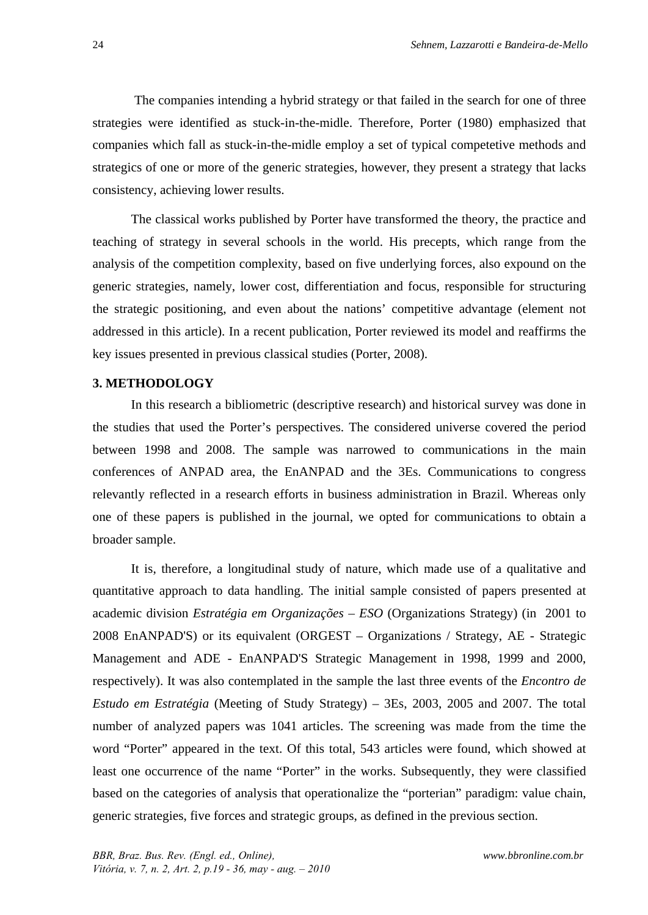The companies intending a hybrid strategy or that failed in the search for one of three strategies were identified as stuck-in-the-midle. Therefore, Porter (1980) emphasized that companies which fall as stuck-in-the-midle employ a set of typical competetive methods and strategics of one or more of the generic strategies, however, they present a strategy that lacks consistency, achieving lower results.

The classical works published by Porter have transformed the theory, the practice and teaching of strategy in several schools in the world. His precepts, which range from the analysis of the competition complexity, based on five underlying forces, also expound on the generic strategies, namely, lower cost, differentiation and focus, responsible for structuring the strategic positioning, and even about the nations' competitive advantage (element not addressed in this article). In a recent publication, Porter reviewed its model and reaffirms the key issues presented in previous classical studies (Porter, 2008).

# **3. METHODOLOGY**

In this research a bibliometric (descriptive research) and historical survey was done in the studies that used the Porter's perspectives. The considered universe covered the period between 1998 and 2008. The sample was narrowed to communications in the main conferences of ANPAD area, the EnANPAD and the 3Es. Communications to congress relevantly reflected in a research efforts in business administration in Brazil. Whereas only one of these papers is published in the journal, we opted for communications to obtain a broader sample.

It is, therefore, a longitudinal study of nature, which made use of a qualitative and quantitative approach to data handling. The initial sample consisted of papers presented at academic division *Estratégia em Organizações – ESO* (Organizations Strategy) (in 2001 to 2008 EnANPAD'S) or its equivalent (ORGEST – Organizations / Strategy, AE - Strategic Management and ADE - EnANPAD'S Strategic Management in 1998, 1999 and 2000, respectively). It was also contemplated in the sample the last three events of the *Encontro de Estudo em Estratégia* (Meeting of Study Strategy) – 3Es, 2003, 2005 and 2007. The total number of analyzed papers was 1041 articles. The screening was made from the time the word "Porter" appeared in the text. Of this total, 543 articles were found, which showed at least one occurrence of the name "Porter" in the works. Subsequently, they were classified based on the categories of analysis that operationalize the "porterian" paradigm: value chain, generic strategies, five forces and strategic groups, as defined in the previous section.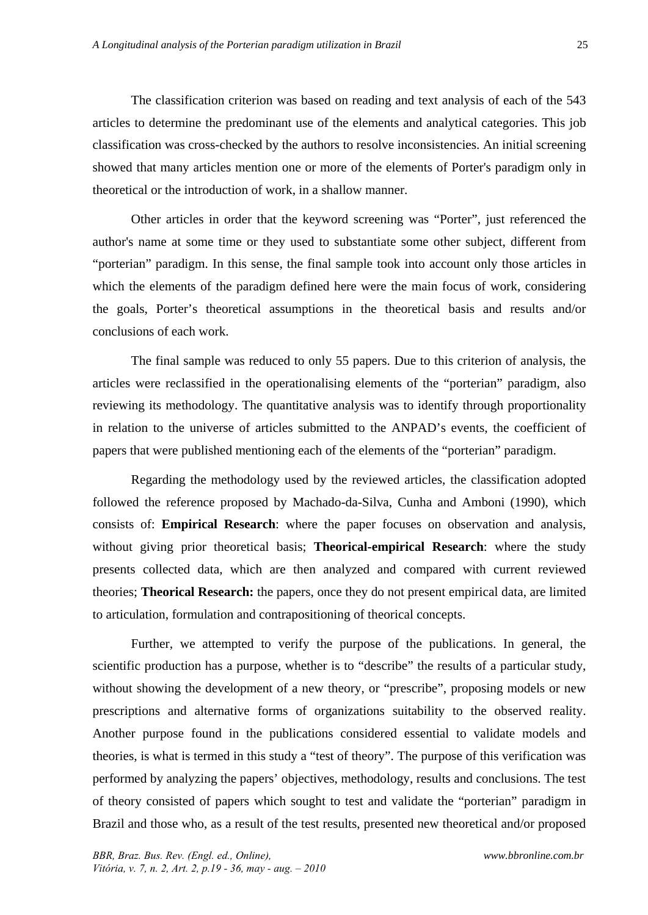The classification criterion was based on reading and text analysis of each of the 543 articles to determine the predominant use of the elements and analytical categories. This job classification was cross-checked by the authors to resolve inconsistencies. An initial screening showed that many articles mention one or more of the elements of Porter's paradigm only in theoretical or the introduction of work, in a shallow manner.

Other articles in order that the keyword screening was "Porter", just referenced the author's name at some time or they used to substantiate some other subject, different from "porterian" paradigm. In this sense, the final sample took into account only those articles in which the elements of the paradigm defined here were the main focus of work, considering the goals, Porter's theoretical assumptions in the theoretical basis and results and/or conclusions of each work.

The final sample was reduced to only 55 papers. Due to this criterion of analysis, the articles were reclassified in the operationalising elements of the "porterian" paradigm, also reviewing its methodology. The quantitative analysis was to identify through proportionality in relation to the universe of articles submitted to the ANPAD's events, the coefficient of papers that were published mentioning each of the elements of the "porterian" paradigm.

Regarding the methodology used by the reviewed articles, the classification adopted followed the reference proposed by Machado-da-Silva, Cunha and Amboni (1990), which consists of: **Empirical Research**: where the paper focuses on observation and analysis, without giving prior theoretical basis; **Theorical-empirical Research**: where the study presents collected data, which are then analyzed and compared with current reviewed theories; **Theorical Research:** the papers, once they do not present empirical data, are limited to articulation, formulation and contrapositioning of theorical concepts.

Further, we attempted to verify the purpose of the publications. In general, the scientific production has a purpose, whether is to "describe" the results of a particular study, without showing the development of a new theory, or "prescribe", proposing models or new prescriptions and alternative forms of organizations suitability to the observed reality. Another purpose found in the publications considered essential to validate models and theories, is what is termed in this study a "test of theory". The purpose of this verification was performed by analyzing the papers' objectives, methodology, results and conclusions. The test of theory consisted of papers which sought to test and validate the "porterian" paradigm in Brazil and those who, as a result of the test results, presented new theoretical and/or proposed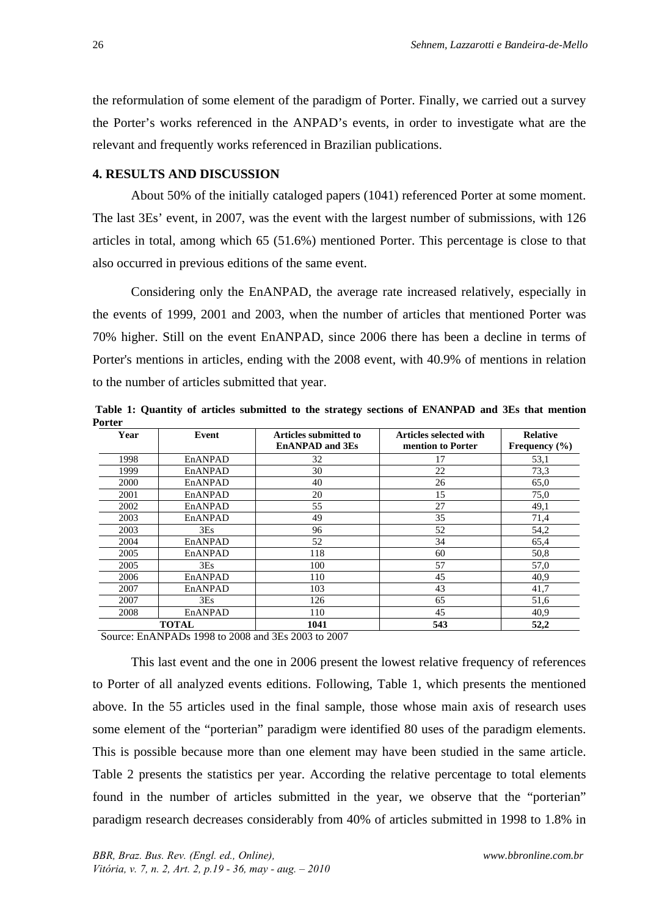the reformulation of some element of the paradigm of Porter. Finally, we carried out a survey the Porter's works referenced in the ANPAD's events, in order to investigate what are the relevant and frequently works referenced in Brazilian publications.

# **4. RESULTS AND DISCUSSION**

About 50% of the initially cataloged papers (1041) referenced Porter at some moment. The last 3Es' event, in 2007, was the event with the largest number of submissions, with 126 articles in total, among which 65 (51.6%) mentioned Porter. This percentage is close to that also occurred in previous editions of the same event.

Considering only the EnANPAD, the average rate increased relatively, especially in the events of 1999, 2001 and 2003, when the number of articles that mentioned Porter was 70% higher. Still on the event EnANPAD, since 2006 there has been a decline in terms of Porter's mentions in articles, ending with the 2008 event, with 40.9% of mentions in relation to the number of articles submitted that year.

 **Table 1: Quantity of articles submitted to the strategy sections of ENANPAD and 3Es that mention Porter**  Year **Event** Articles submitted to **Articles selected with Relative** 

| Year | Event        | <b>Articles submitted to</b> | Articles selected with | <b>Relative</b>   |
|------|--------------|------------------------------|------------------------|-------------------|
|      |              | <b>EnANPAD</b> and 3Es       | mention to Porter      | Frequency $(\% )$ |
| 1998 | EnANPAD      | 32                           | 17                     | 53,1              |
| 1999 | EnANPAD      | 30                           | 22                     | 73,3              |
| 2000 | EnANPAD      | 40                           | 26                     | 65,0              |
| 2001 | EnANPAD      | 20                           | 15                     | 75,0              |
| 2002 | EnANPAD      | 55                           | 27                     | 49,1              |
| 2003 | EnANPAD      | 49                           | 35                     | 71,4              |
| 2003 | 3Es          | 96                           | 52                     | 54,2              |
| 2004 | EnANPAD      | 52                           | 34                     | 65,4              |
| 2005 | EnANPAD      | 118                          | 60                     | 50,8              |
| 2005 | 3Es          | 100                          | 57                     | 57,0              |
| 2006 | EnANPAD      | 110                          | 45                     | 40.9              |
| 2007 | EnANPAD      | 103                          | 43                     | 41,7              |
| 2007 | 3Es          | 126                          | 65                     | 51,6              |
| 2008 | EnANPAD      | 110                          | 45                     | 40.9              |
|      | <b>TOTAL</b> | 1041                         | 543                    | 52,2              |

Source: EnANPADs 1998 to 2008 and 3Es 2003 to 2007

This last event and the one in 2006 present the lowest relative frequency of references to Porter of all analyzed events editions. Following, Table 1, which presents the mentioned above. In the 55 articles used in the final sample, those whose main axis of research uses some element of the "porterian" paradigm were identified 80 uses of the paradigm elements. This is possible because more than one element may have been studied in the same article. Table 2 presents the statistics per year. According the relative percentage to total elements found in the number of articles submitted in the year, we observe that the "porterian" paradigm research decreases considerably from 40% of articles submitted in 1998 to 1.8% in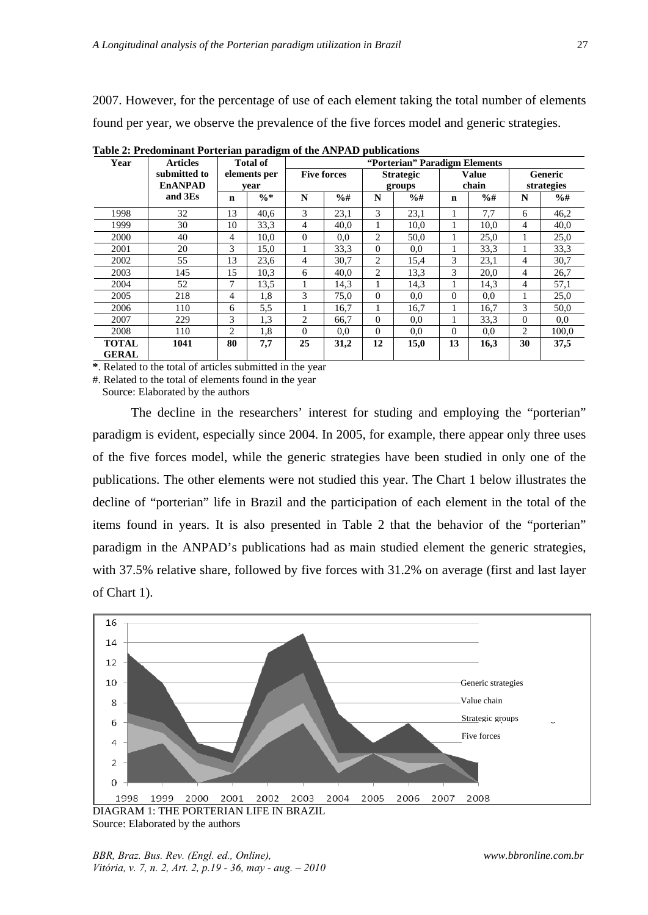2007. However, for the percentage of use of each element taking the total number of elements found per year, we observe the prevalence of the five forces model and generic strategies.

| Year                         | <b>Articles</b>                |    | <b>Total of</b> | "Porterian" Paradigm Elements |               |                  |               |              |                 |          |               |
|------------------------------|--------------------------------|----|-----------------|-------------------------------|---------------|------------------|---------------|--------------|-----------------|----------|---------------|
|                              | submitted to<br><b>EnANPAD</b> |    | elements per    | <b>Five forces</b>            |               | <b>Strategic</b> |               | <b>Value</b> |                 | Generic  |               |
|                              |                                |    | vear            |                               | groups        |                  | chain         |              | strategies      |          |               |
|                              | and 3Es                        | n  | $\frac{0}{6}$ * | N                             | $\frac{9}{6}$ | N                | $\frac{9}{6}$ | $\mathbf n$  | $\frac{9}{6}$ # | N        | $\frac{9}{6}$ |
| 1998                         | 32                             | 13 | 40,6            | 3                             | 23,1          | 3                | 23,1          |              | 7,7             | 6        | 46,2          |
| 1999                         | 30                             | 10 | 33,3            | 4                             | 40,0          |                  | 10,0          |              | 10,0            | 4        | 40,0          |
| 2000                         | 40                             | 4  | 10.0            | $\theta$                      | 0.0           | 2                | 50,0          |              | 25,0            |          | 25,0          |
| 2001                         | 20                             | 3  | 15.0            |                               | 33,3          | $\theta$         | 0.0           |              | 33.3            |          | 33,3          |
| 2002                         | 55                             | 13 | 23,6            | 4                             | 30,7          | $\overline{c}$   | 15,4          | 3            | 23,1            | 4        | 30,7          |
| 2003                         | 145                            | 15 | 10,3            | 6                             | 40.0          | $\overline{c}$   | 13.3          | 3            | 20,0            | 4        | 26,7          |
| 2004                         | 52                             | 7  | 13,5            |                               | 14,3          |                  | 14,3          |              | 14,3            | 4        | 57,1          |
| 2005                         | 218                            | 4  | 1,8             | 3                             | 75,0          | $\Omega$         | 0.0           | $\Omega$     | 0.0             |          | 25,0          |
| 2006                         | 110                            | 6  | 5,5             |                               | 16.7          |                  | 16,7          |              | 16,7            | 3        | 50,0          |
| 2007                         | 229                            | 3  | 1,3             | 2                             | 66.7          | $\Omega$         | 0.0           |              | 33,3            | $\Omega$ | 0.0           |
| 2008                         | 110                            | 2  | 1,8             | $\Omega$                      | 0.0           | $\theta$         | 0.0           | $\Omega$     | 0.0             | 2        | 100.0         |
| <b>TOTAL</b><br><b>GERAL</b> | 1041                           | 80 | 7,7             | 25                            | 31,2          | 12               | 15,0          | 13           | 16,3            | 30       | 37,5          |

**Table 2: Predominant Porterian paradigm of the ANPAD publications** 

**\***. Related to the total of articles submitted in the year

#. Related to the total of elements found in the year

Source: Elaborated by the authors

The decline in the researchers' interest for studing and employing the "porterian" paradigm is evident, especially since 2004. In 2005, for example, there appear only three uses of the five forces model, while the generic strategies have been studied in only one of the publications. The other elements were not studied this year. The Chart 1 below illustrates the decline of "porterian" life in Brazil and the participation of each element in the total of the items found in years. It is also presented in Table 2 that the behavior of the "porterian" paradigm in the ANPAD's publications had as main studied element the generic strategies, with 37.5% relative share, followed by five forces with 31.2% on average (first and last layer of Chart 1).



Source: Elaborated by the authors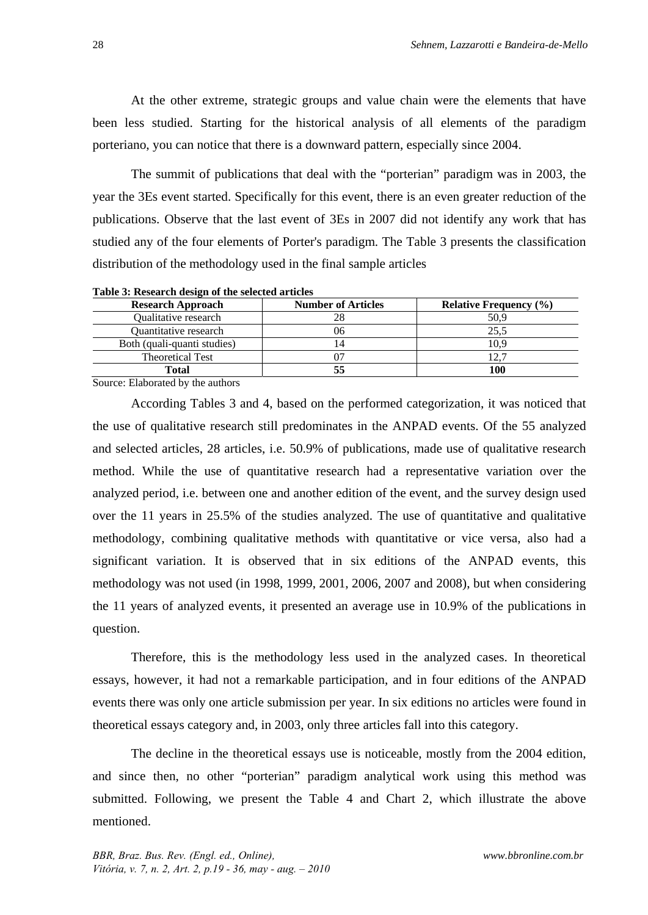At the other extreme, strategic groups and value chain were the elements that have been less studied. Starting for the historical analysis of all elements of the paradigm porteriano, you can notice that there is a downward pattern, especially since 2004.

The summit of publications that deal with the "porterian" paradigm was in 2003, the year the 3Es event started. Specifically for this event, there is an even greater reduction of the publications. Observe that the last event of 3Es in 2007 did not identify any work that has studied any of the four elements of Porter's paradigm. The Table 3 presents the classification distribution of the methodology used in the final sample articles

| <b>Research Approach</b>    | <b>Number of Articles</b> | <b>Relative Frequency (%)</b> |
|-----------------------------|---------------------------|-------------------------------|
| Qualitative research        |                           | 50,9                          |
| Quantitative research       | 06                        | 25.5                          |
| Both (quali-quanti studies) |                           | 10.9                          |
| <b>Theoretical Test</b>     |                           |                               |
| Total                       |                           | 100                           |
|                             |                           |                               |

**Table 3: Research design of the selected articles** 

Source: Elaborated by the authors

According Tables 3 and 4, based on the performed categorization, it was noticed that the use of qualitative research still predominates in the ANPAD events. Of the 55 analyzed and selected articles, 28 articles, i.e. 50.9% of publications, made use of qualitative research method. While the use of quantitative research had a representative variation over the analyzed period, i.e. between one and another edition of the event, and the survey design used over the 11 years in 25.5% of the studies analyzed. The use of quantitative and qualitative methodology, combining qualitative methods with quantitative or vice versa, also had a significant variation. It is observed that in six editions of the ANPAD events, this methodology was not used (in 1998, 1999, 2001, 2006, 2007 and 2008), but when considering the 11 years of analyzed events, it presented an average use in 10.9% of the publications in question.

Therefore, this is the methodology less used in the analyzed cases. In theoretical essays, however, it had not a remarkable participation, and in four editions of the ANPAD events there was only one article submission per year. In six editions no articles were found in theoretical essays category and, in 2003, only three articles fall into this category.

The decline in the theoretical essays use is noticeable, mostly from the 2004 edition, and since then, no other "porterian" paradigm analytical work using this method was submitted. Following, we present the Table 4 and Chart 2, which illustrate the above mentioned.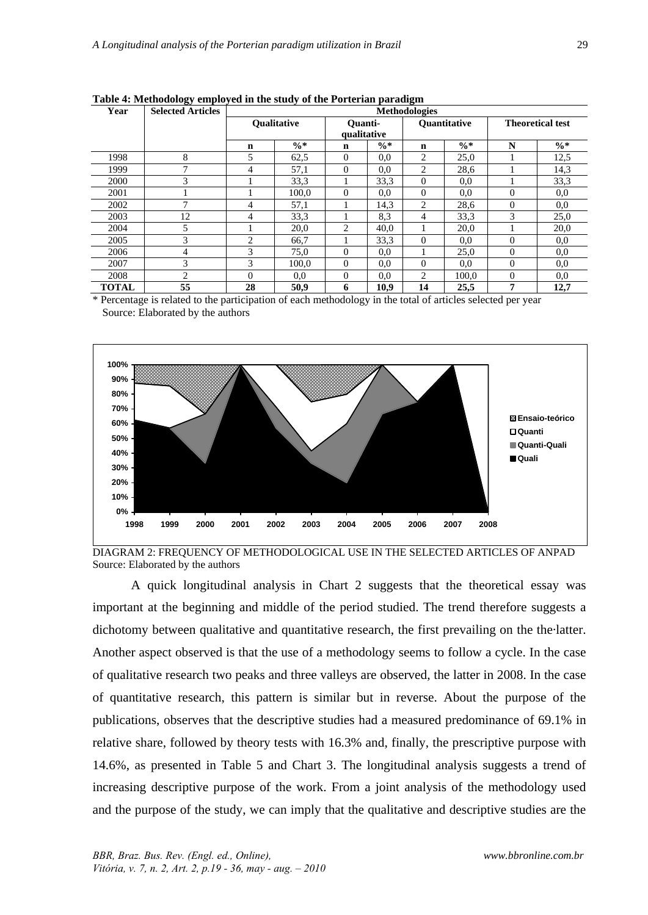| Year         | <b>Selected Articles</b> | <b>Methodologies</b> |                    |              |                 |                     |                 |                         |                 |
|--------------|--------------------------|----------------------|--------------------|--------------|-----------------|---------------------|-----------------|-------------------------|-----------------|
|              |                          |                      | <b>Oualitative</b> | Ouanti-      |                 | <b>Ouantitative</b> |                 | <b>Theoretical test</b> |                 |
|              |                          |                      |                    |              | qualitative     |                     |                 |                         |                 |
|              |                          | $\mathbf n$          | $\frac{0}{6}$ *    | $\mathbf n$  | $\frac{0}{6}$ * | $\mathbf n$         | $\frac{0}{6}$ * | N                       | $\frac{0}{6}$ * |
| 1998         | 8                        | 5                    | 62,5               | $\mathbf{0}$ | 0.0             | 2                   | 25,0            |                         | 12,5            |
| 1999         | ┑                        | 4                    | 57,1               | $\Omega$     | 0.0             | 2                   | 28,6            |                         | 14,3            |
| 2000         | 3                        |                      | 33.3               |              | 33,3            | $\Omega$            | 0,0             |                         | 33,3            |
| 2001         |                          |                      | 100.0              | $\Omega$     | 0.0             | $\Omega$            | 0,0             | $\Omega$                | 0,0             |
| 2002         | 7                        | 4                    | 57,1               |              | 14,3            | 2                   | 28,6            | $\Omega$                | 0.0             |
| 2003         | 12                       | 4                    | 33.3               |              | 8.3             | 4                   | 33,3            | 3                       | 25,0            |
| 2004         | 5                        |                      | 20,0               | 2            | 40,0            |                     | 20,0            |                         | 20,0            |
| 2005         | 3                        | 2                    | 66,7               |              | 33,3            | $\Omega$            | 0,0             | $\theta$                | 0,0             |
| 2006         | 4                        | 3                    | 75,0               | $\Omega$     | 0.0             |                     | 25,0            | $\Omega$                | 0.0             |
| 2007         | 3                        | 3                    | 100,0              | $\theta$     | 0.0             | $\Omega$            | 0,0             | $\theta$                | 0,0             |
| 2008         | 2                        | 0                    | 0.0                | $\Omega$     | 0.0             | 2                   | 100.0           | $\Omega$                | 0.0             |
| <b>TOTAL</b> | 55                       | 28                   | 50.9               | 6            | 10,9            | 14                  | 25.5            | 7                       | 12,7            |

**Table 4: Methodology employed in the study of the Porterian paradigm** 

\* Percentage is related to the participation of each methodology in the total of articles selected per year Source: Elaborated by the authors



DIAGRAM 2: FREQUENCY OF METHODOLOGICAL USE IN THE SELECTED ARTICLES OF ANPAD Source: Elaborated by the authors

A quick longitudinal analysis in Chart 2 suggests that the theoretical essay was important at the beginning and middle of the period studied. The trend therefore suggests a dichotomy between qualitative and quantitative research, the first prevailing on the the·latter. Another aspect observed is that the use of a methodology seems to follow a cycle. In the case of qualitative research two peaks and three valleys are observed, the latter in 2008. In the case of quantitative research, this pattern is similar but in reverse. About the purpose of the publications, observes that the descriptive studies had a measured predominance of 69.1% in relative share, followed by theory tests with 16.3% and, finally, the prescriptive purpose with 14.6%, as presented in Table 5 and Chart 3. The longitudinal analysis suggests a trend of increasing descriptive purpose of the work. From a joint analysis of the methodology used and the purpose of the study, we can imply that the qualitative and descriptive studies are the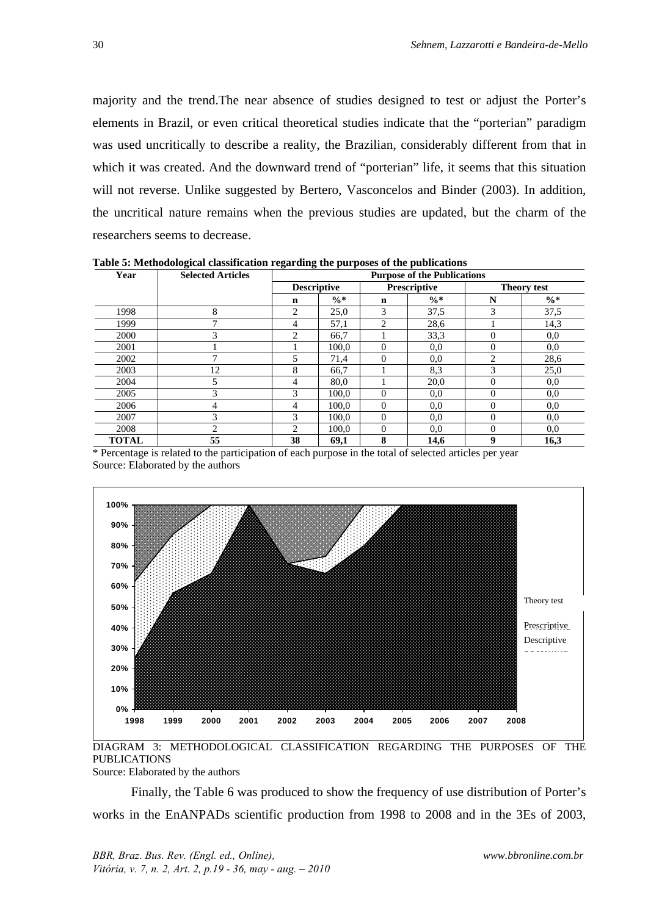majority and the trend.The near absence of studies designed to test or adjust the Porter's elements in Brazil, or even critical theoretical studies indicate that the "porterian" paradigm was used uncritically to describe a reality, the Brazilian, considerably different from that in which it was created. And the downward trend of "porterian" life, it seems that this situation will not reverse. Unlike suggested by Bertero, Vasconcelos and Binder (2003). In addition, the uncritical nature remains when the previous studies are updated, but the charm of the researchers seems to decrease.

| Year         | <b>Selected Articles</b> |             | <b>Purpose of the Publications</b>        |                |                 |                               |                 |
|--------------|--------------------------|-------------|-------------------------------------------|----------------|-----------------|-------------------------------|-----------------|
|              |                          |             | <b>Prescriptive</b><br><b>Descriptive</b> |                |                 | <b>Theory test</b>            |                 |
|              |                          | $\mathbf n$ | $\frac{0}{6}$ *                           | $\mathbf n$    | $\frac{0}{6}$ * | N                             | $\frac{0}{6}$ * |
| 1998         | 8                        | 2           | 25,0                                      | 3              | 37,5            | $\mathcal{R}$                 | 37,5            |
| 1999         | ⇁                        | 4           | 57,1                                      | $\overline{c}$ | 28,6            |                               | 14,3            |
| 2000         | 3                        | 2           | 66,7                                      |                | 33,3            | $\Omega$                      | 0,0             |
| 2001         |                          |             | 100.0                                     | $\overline{0}$ | 0.0             | $\theta$                      | 0,0             |
| 2002         | ⇁                        | 5           | 71,4                                      | $\theta$       | 0.0             | $\mathfrak{D}_{\mathfrak{p}}$ | 28,6            |
| 2003         | 12                       | 8           | 66,7                                      |                | 8,3             | 3                             | 25,0            |
| 2004         | 5                        | 4           | 80,0                                      |                | 20,0            | $\Omega$                      | 0,0             |
| 2005         | 3                        | 3           | 100.0                                     | 0              | 0.0             | $\theta$                      | 0,0             |
| 2006         | 4                        | 4           | 100.0                                     | $\theta$       | 0.0             | $\Omega$                      | 0,0             |
| 2007         | 3                        | 3           | 100.0                                     | $\overline{0}$ | 0.0             | $\Omega$                      | 0,0             |
| 2008         | $\overline{2}$           | 2           | 100.0                                     | $\overline{0}$ | 0.0             | $\theta$                      | 0,0             |
| <b>TOTAL</b> | 55                       | 38          | 69,1                                      | 8              | 14.6            | 9                             | 16,3            |

**Table 5: Methodological classification regarding the purposes of the publications** 

\* Percentage is related to the participation of each purpose in the total of selected articles per year Source: Elaborated by the authors



DIAGRAM 3: METHODOLOGICAL CLASSIFICATION REGARDING THE PURPOSES OF THE PUBLICATIONS Source: Elaborated by the authors

Finally, the Table 6 was produced to show the frequency of use distribution of Porter's works in the EnANPADs scientific production from 1998 to 2008 and in the 3Es of 2003,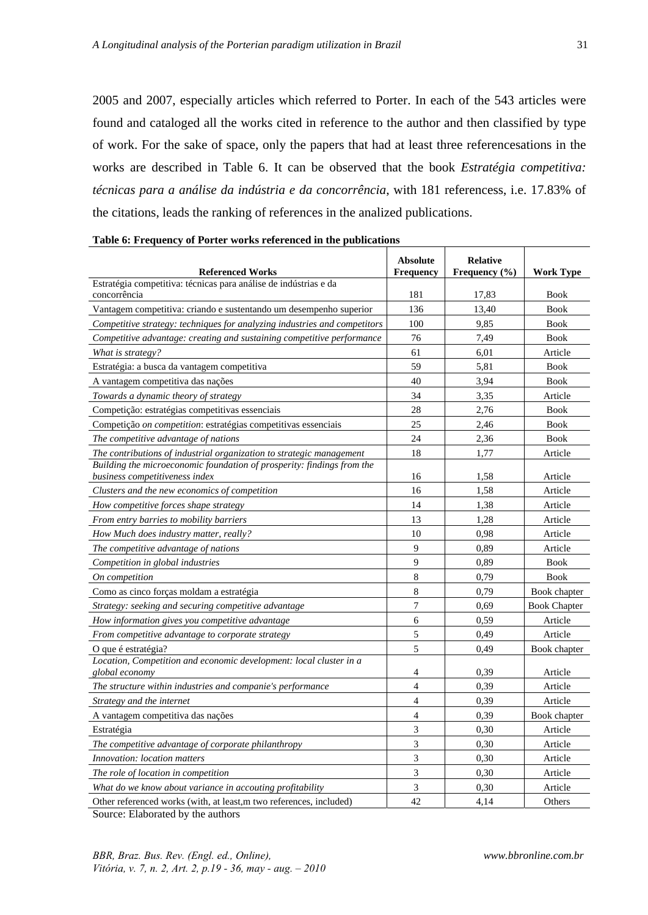2005 and 2007, especially articles which referred to Porter. In each of the 543 articles were found and cataloged all the works cited in reference to the author and then classified by type of work. For the sake of space, only the papers that had at least three referencesations in the works are described in Table 6. It can be observed that the book *Estratégia competitiva: técnicas para a análise da indústria e da concorrência*, with 181 referencess, i.e. 17.83% of the citations, leads the ranking of references in the analized publications.

| <b>Referenced Works</b>                                                                                  | <b>Absolute</b><br><b>Frequency</b> | <b>Relative</b><br>Frequency $(\% )$ | <b>Work Type</b>    |
|----------------------------------------------------------------------------------------------------------|-------------------------------------|--------------------------------------|---------------------|
| Estratégia competitiva: técnicas para análise de indústrias e da                                         |                                     |                                      |                     |
| concorrência                                                                                             | 181                                 | 17,83                                | <b>Book</b>         |
| Vantagem competitiva: criando e sustentando um desempenho superior                                       | 136                                 | 13,40                                | <b>Book</b>         |
| Competitive strategy: techniques for analyzing industries and competitors                                | 100                                 | 9,85                                 | <b>Book</b>         |
| Competitive advantage: creating and sustaining competitive performance                                   | 76                                  | 7,49                                 | <b>Book</b>         |
| What is strategy?                                                                                        | 61                                  | 6,01                                 | Article             |
| Estratégia: a busca da vantagem competitiva                                                              | 59                                  | 5,81                                 | <b>Book</b>         |
| A vantagem competitiva das nações                                                                        | 40                                  | 3,94                                 | <b>Book</b>         |
| Towards a dynamic theory of strategy                                                                     | 34                                  | 3,35                                 | Article             |
| Competição: estratégias competitivas essenciais                                                          | 28                                  | 2,76                                 | <b>Book</b>         |
| Competição on competition: estratégias competitivas essenciais                                           | 25                                  | 2,46                                 | <b>Book</b>         |
| The competitive advantage of nations                                                                     | 24                                  | 2,36                                 | <b>Book</b>         |
| The contributions of industrial organization to strategic management                                     | 18                                  | 1,77                                 | Article             |
| Building the microeconomic foundation of prosperity: findings from the<br>business competitiveness index | 16                                  | 1,58                                 | Article             |
| Clusters and the new economics of competition                                                            | 16                                  | 1,58                                 | Article             |
| How competitive forces shape strategy                                                                    | 14                                  | 1,38                                 | Article             |
| From entry barries to mobility barriers                                                                  | 13                                  | 1,28                                 | Article             |
| How Much does industry matter, really?                                                                   | 10                                  | 0.98                                 | Article             |
| The competitive advantage of nations                                                                     | 9                                   | 0,89                                 | Article             |
| Competition in global industries                                                                         | 9                                   | 0,89                                 | <b>Book</b>         |
| On competition                                                                                           | 8                                   | 0.79                                 | <b>Book</b>         |
| Como as cinco forças moldam a estratégia                                                                 | 8                                   | 0.79                                 | Book chapter        |
| Strategy: seeking and securing competitive advantage                                                     | $\boldsymbol{7}$                    | 0,69                                 | <b>Book Chapter</b> |
| How information gives you competitive advantage                                                          | 6                                   | 0.59                                 | Article             |
| From competitive advantage to corporate strategy                                                         | 5                                   | 0.49                                 | Article             |
| O que é estratégia?                                                                                      | 5                                   | 0,49                                 | Book chapter        |
| Location, Competition and economic development: local cluster in a                                       |                                     |                                      |                     |
| global economy                                                                                           | $\overline{4}$                      | 0,39                                 | Article             |
| The structure within industries and companie's performance                                               | $\overline{4}$                      | 0.39                                 | Article             |
| Strategy and the internet                                                                                | $\overline{4}$                      | 0.39                                 | Article             |
| A vantagem competitiva das nações                                                                        | $\overline{4}$                      | 0.39                                 | Book chapter        |
| Estratégia                                                                                               | 3                                   | 0,30                                 | Article             |
| The competitive advantage of corporate philanthropy                                                      | 3                                   | 0,30                                 | Article             |
| <i>Innovation: location matters</i>                                                                      | 3                                   | 0.30                                 | Article             |
| The role of location in competition                                                                      | $\mathfrak{Z}$                      | 0,30                                 | Article             |
| What do we know about variance in accouting profitability                                                | 3                                   | 0.30                                 | Article             |
| Other referenced works (with, at least, m two references, included)                                      | 42                                  | 4,14                                 | Others              |

| Table 6: Frequency of Porter works referenced in the publications |  |  |  |  |  |  |  |
|-------------------------------------------------------------------|--|--|--|--|--|--|--|
|-------------------------------------------------------------------|--|--|--|--|--|--|--|

Source: Elaborated by the authors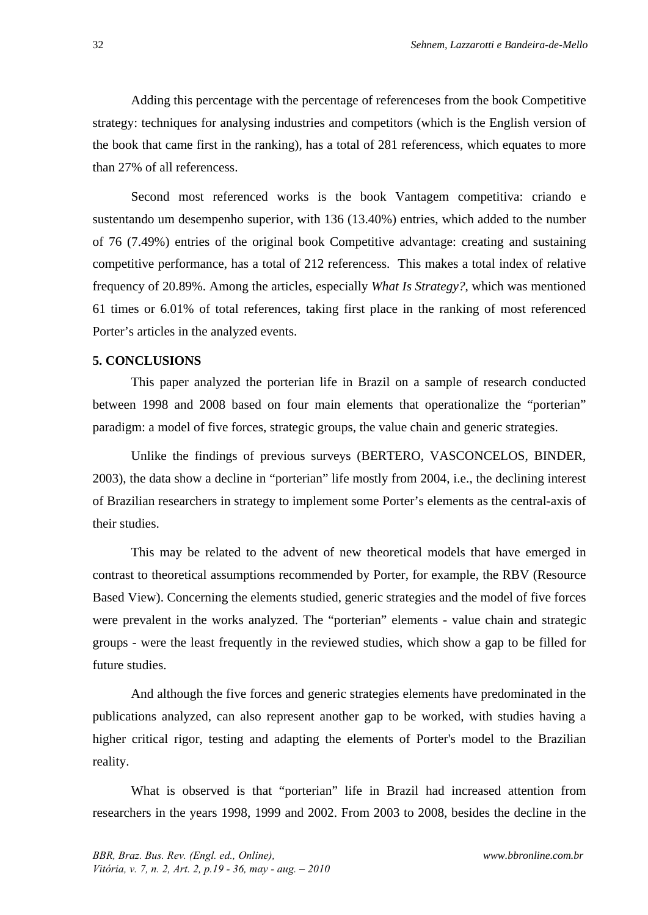Adding this percentage with the percentage of referenceses from the book Competitive strategy: techniques for analysing industries and competitors (which is the English version of the book that came first in the ranking), has a total of 281 referencess, which equates to more than 27% of all referencess.

Second most referenced works is the book Vantagem competitiva: criando e sustentando um desempenho superior, with 136 (13.40%) entries, which added to the number of 76 (7.49%) entries of the original book Competitive advantage: creating and sustaining competitive performance, has a total of 212 referencess. This makes a total index of relative frequency of 20.89%. Among the articles, especially *What Is Strategy?*, which was mentioned 61 times or 6.01% of total references, taking first place in the ranking of most referenced Porter's articles in the analyzed events.

#### **5. CONCLUSIONS**

This paper analyzed the porterian life in Brazil on a sample of research conducted between 1998 and 2008 based on four main elements that operationalize the "porterian" paradigm: a model of five forces, strategic groups, the value chain and generic strategies.

Unlike the findings of previous surveys (BERTERO, VASCONCELOS, BINDER, 2003), the data show a decline in "porterian" life mostly from 2004, i.e., the declining interest of Brazilian researchers in strategy to implement some Porter's elements as the central-axis of their studies.

This may be related to the advent of new theoretical models that have emerged in contrast to theoretical assumptions recommended by Porter, for example, the RBV (Resource Based View). Concerning the elements studied, generic strategies and the model of five forces were prevalent in the works analyzed. The "porterian" elements - value chain and strategic groups - were the least frequently in the reviewed studies, which show a gap to be filled for future studies.

And although the five forces and generic strategies elements have predominated in the publications analyzed, can also represent another gap to be worked, with studies having a higher critical rigor, testing and adapting the elements of Porter's model to the Brazilian reality.

What is observed is that "porterian" life in Brazil had increased attention from researchers in the years 1998, 1999 and 2002. From 2003 to 2008, besides the decline in the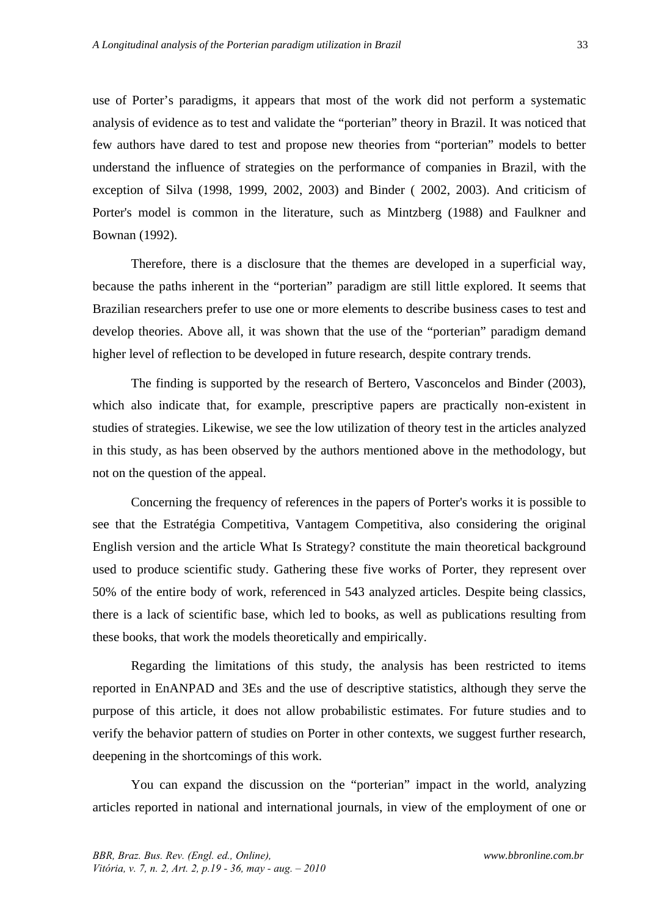use of Porter's paradigms, it appears that most of the work did not perform a systematic analysis of evidence as to test and validate the "porterian" theory in Brazil. It was noticed that few authors have dared to test and propose new theories from "porterian" models to better understand the influence of strategies on the performance of companies in Brazil, with the exception of Silva (1998, 1999, 2002, 2003) and Binder ( 2002, 2003). And criticism of Porter's model is common in the literature, such as Mintzberg (1988) and Faulkner and Bownan (1992).

Therefore, there is a disclosure that the themes are developed in a superficial way, because the paths inherent in the "porterian" paradigm are still little explored. It seems that Brazilian researchers prefer to use one or more elements to describe business cases to test and develop theories. Above all, it was shown that the use of the "porterian" paradigm demand higher level of reflection to be developed in future research, despite contrary trends.

The finding is supported by the research of Bertero, Vasconcelos and Binder (2003), which also indicate that, for example, prescriptive papers are practically non-existent in studies of strategies. Likewise, we see the low utilization of theory test in the articles analyzed in this study, as has been observed by the authors mentioned above in the methodology, but not on the question of the appeal.

Concerning the frequency of references in the papers of Porter's works it is possible to see that the Estratégia Competitiva, Vantagem Competitiva, also considering the original English version and the article What Is Strategy? constitute the main theoretical background used to produce scientific study. Gathering these five works of Porter, they represent over 50% of the entire body of work, referenced in 543 analyzed articles. Despite being classics, there is a lack of scientific base, which led to books, as well as publications resulting from these books, that work the models theoretically and empirically.

Regarding the limitations of this study, the analysis has been restricted to items reported in EnANPAD and 3Es and the use of descriptive statistics, although they serve the purpose of this article, it does not allow probabilistic estimates. For future studies and to verify the behavior pattern of studies on Porter in other contexts, we suggest further research, deepening in the shortcomings of this work.

You can expand the discussion on the "porterian" impact in the world, analyzing articles reported in national and international journals, in view of the employment of one or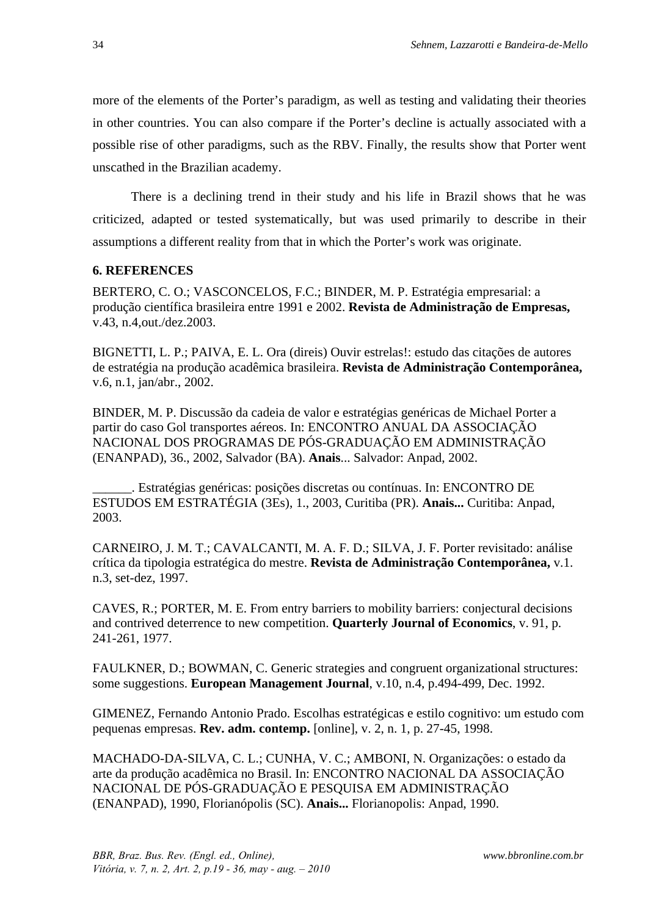more of the elements of the Porter's paradigm, as well as testing and validating their theories in other countries. You can also compare if the Porter's decline is actually associated with a possible rise of other paradigms, such as the RBV. Finally, the results show that Porter went unscathed in the Brazilian academy.

There is a declining trend in their study and his life in Brazil shows that he was criticized, adapted or tested systematically, but was used primarily to describe in their assumptions a different reality from that in which the Porter's work was originate.

### **6. REFERENCES**

BERTERO, C. O.; VASCONCELOS, F.C.; BINDER, M. P. Estratégia empresarial: a produção científica brasileira entre 1991 e 2002. **Revista de Administração de Empresas,**  v.43, n.4,out./dez.2003.

BIGNETTI, L. P.; PAIVA, E. L. Ora (direis) Ouvir estrelas!: estudo das citações de autores de estratégia na produção acadêmica brasileira. **Revista de Administração Contemporânea,** v.6, n.1, jan/abr., 2002.

BINDER, M. P. Discussão da cadeia de valor e estratégias genéricas de Michael Porter a partir do caso Gol transportes aéreos. In: ENCONTRO ANUAL DA ASSOCIAÇÃO NACIONAL DOS PROGRAMAS DE PÓS-GRADUAÇÃO EM ADMINISTRAÇÃO (ENANPAD), 36., 2002, Salvador (BA). **Anais**... Salvador: Anpad, 2002.

\_\_\_\_\_\_. Estratégias genéricas: posições discretas ou contínuas. In: ENCONTRO DE ESTUDOS EM ESTRATÉGIA (3Es), 1., 2003, Curitiba (PR). **Anais...** Curitiba: Anpad, 2003.

CARNEIRO, J. M. T.; CAVALCANTI, M. A. F. D.; SILVA, J. F. Porter revisitado: análise crítica da tipologia estratégica do mestre. **Revista de Administração Contemporânea,** v.1. n.3, set-dez, 1997.

CAVES, R.; PORTER, M. E. From entry barriers to mobility barriers: conjectural decisions and contrived deterrence to new competition. **Quarterly Journal of Economics**, v. 91, p. 241-261, 1977.

FAULKNER, D.; BOWMAN, C. Generic strategies and congruent organizational structures: some suggestions. **European Management Journal**, v.10, n.4, p.494-499, Dec. 1992.

GIMENEZ, Fernando Antonio Prado. Escolhas estratégicas e estilo cognitivo: um estudo com pequenas empresas. **Rev. adm. contemp.** [online], v. 2, n. 1, p. 27-45, 1998.

MACHADO-DA-SILVA, C. L.; CUNHA, V. C.; AMBONI, N. Organizações: o estado da arte da produção acadêmica no Brasil. In: ENCONTRO NACIONAL DA ASSOCIAÇÃO NACIONAL DE PÓS-GRADUAÇÃO E PESQUISA EM ADMINISTRAÇÃO (ENANPAD), 1990, Florianópolis (SC). **Anais...** Florianopolis: Anpad, 1990.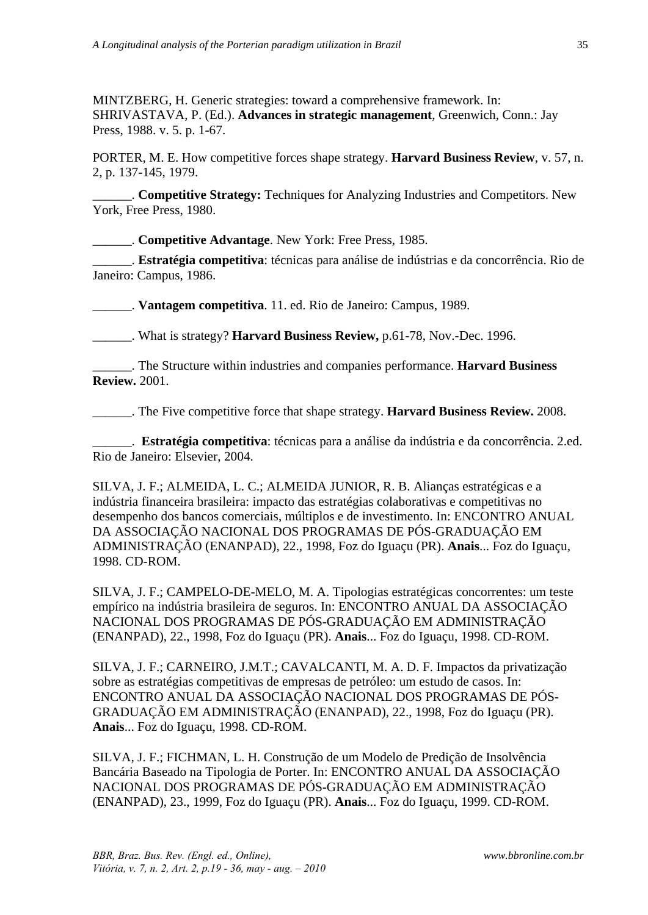MINTZBERG, H. Generic strategies: toward a comprehensive framework. In: SHRIVASTAVA, P. (Ed.). **Advances in strategic management**, Greenwich, Conn.: Jay Press, 1988. v. 5. p. 1-67.

PORTER, M. E. How competitive forces shape strategy. **Harvard Business Review**, v. 57, n. 2, p. 137-145, 1979.

\_\_\_\_\_\_. **Competitive Strategy:** Techniques for Analyzing Industries and Competitors. New York, Free Press, 1980.

\_\_\_\_\_\_. **Competitive Advantage**. New York: Free Press, 1985.

\_\_\_\_\_\_. **Estratégia competitiva**: técnicas para análise de indústrias e da concorrência. Rio de Janeiro: Campus, 1986.

\_\_\_\_\_\_. **Vantagem competitiva**. 11. ed. Rio de Janeiro: Campus, 1989.

\_\_\_\_\_\_. What is strategy? **Harvard Business Review,** p.61-78, Nov.-Dec. 1996.

\_\_\_\_\_\_. The Structure within industries and companies performance. **Harvard Business Review.** 2001.

\_\_\_\_\_\_. The Five competitive force that shape strategy. **Harvard Business Review.** 2008.

\_\_\_\_\_\_. **Estratégia competitiva**: técnicas para a análise da indústria e da concorrência. 2.ed. Rio de Janeiro: Elsevier, 2004.

SILVA, J. F.; ALMEIDA, L. C.; ALMEIDA JUNIOR, R. B. Alianças estratégicas e a indústria financeira brasileira: impacto das estratégias colaborativas e competitivas no desempenho dos bancos comerciais, múltiplos e de investimento. In: ENCONTRO ANUAL DA ASSOCIAÇÃO NACIONAL DOS PROGRAMAS DE PÓS-GRADUAÇÃO EM ADMINISTRAÇÃO (ENANPAD), 22., 1998, Foz do Iguaçu (PR). **Anais**... Foz do Iguaçu, 1998. CD-ROM.

SILVA, J. F.; CAMPELO-DE-MELO, M. A. Tipologias estratégicas concorrentes: um teste empírico na indústria brasileira de seguros. In: ENCONTRO ANUAL DA ASSOCIAÇÃO NACIONAL DOS PROGRAMAS DE PÓS-GRADUAÇÃO EM ADMINISTRAÇÃO (ENANPAD), 22., 1998, Foz do Iguaçu (PR). **Anais**... Foz do Iguaçu, 1998. CD-ROM.

SILVA, J. F.; CARNEIRO, J.M.T.; CAVALCANTI, M. A. D. F. Impactos da privatização sobre as estratégias competitivas de empresas de petróleo: um estudo de casos. In: ENCONTRO ANUAL DA ASSOCIAÇÃO NACIONAL DOS PROGRAMAS DE PÓS-GRADUAÇÃO EM ADMINISTRAÇÃO (ENANPAD), 22., 1998, Foz do Iguaçu (PR). **Anais**... Foz do Iguaçu, 1998. CD-ROM.

SILVA, J. F.; FICHMAN, L. H. Construção de um Modelo de Predição de Insolvência Bancária Baseado na Tipologia de Porter. In: ENCONTRO ANUAL DA ASSOCIAÇÃO NACIONAL DOS PROGRAMAS DE PÓS-GRADUAÇÃO EM ADMINISTRAÇÃO (ENANPAD), 23., 1999, Foz do Iguaçu (PR). **Anais**... Foz do Iguaçu, 1999. CD-ROM.